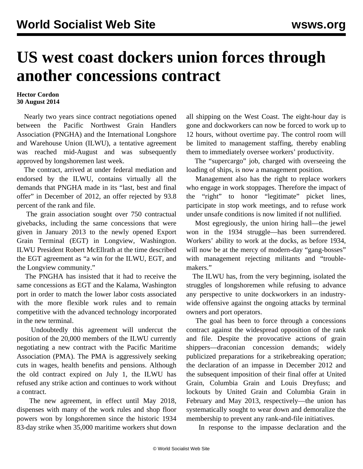## **US west coast dockers union forces through another concessions contract**

## **Hector Cordon 30 August 2014**

 Nearly two years since contract negotiations opened between the Pacific Northwest Grain Handlers Association (PNGHA) and the International Longshore and Warehouse Union (ILWU), a tentative agreement was reached mid-August and was subsequently approved by longshoremen last week.

 The contract, arrived at under federal mediation and endorsed by the ILWU, contains virtually all the demands that PNGHA made in its "last, best and final offer" in December of 2012, an offer rejected by 93.8 percent of the rank and file.

 The grain association sought over 750 contractual givebacks, including the same concessions that were given in January 2013 to the newly opened Export Grain Terminal (EGT) in Longview, Washington. ILWU President Robert McEllrath at the time described the EGT agreement as "a win for the ILWU, EGT, and the Longview community."

 The PNGHA has insisted that it had to receive the same concessions as EGT and the Kalama, Washington port in order to match the lower labor costs associated with the more flexible work rules and to remain competitive with the advanced technology incorporated in the new terminal.

 Undoubtedly this agreement will undercut the position of the 20,000 members of the ILWU currently negotiating a new contract with the Pacific Maritime Association (PMA). The PMA is aggressively seeking cuts in wages, health benefits and pensions. Although the old contract expired on July 1, the ILWU has refused any strike action and continues to work without a contract.

 The new agreement, in effect until May 2018, dispenses with many of the work rules and shop floor powers won by longshoremen since the historic 1934 83-day strike when 35,000 maritime workers shut down all shipping on the West Coast. The eight-hour day is gone and dockworkers can now be forced to work up to 12 hours, without overtime pay. The control room will be limited to management staffing, thereby enabling them to immediately oversee workers' productivity.

 The "supercargo" job, charged with overseeing the loading of ships, is now a management position.

 Management also has the right to replace workers who engage in work stoppages. Therefore the impact of the "right" to honor "legitimate" picket lines, participate in stop work meetings, and to refuse work under unsafe conditions is now limited if not nullified.

 Most egregiously, the union hiring hall—the jewel won in the 1934 struggle—has been surrendered. Workers' ability to work at the docks, as before 1934, will now be at the mercy of modern-day "gang-bosses" with management rejecting militants and "troublemakers."

 The ILWU has, from the very beginning, isolated the struggles of longshoremen while refusing to advance any perspective to unite dockworkers in an industrywide offensive against the ongoing attacks by terminal owners and port operators.

 The goal has been to force through a concessions contract against the widespread opposition of the rank and file. Despite the provocative actions of grain shippers—draconian concession demands; widely publicized preparations for a strikebreaking operation; the declaration of an impasse in December 2012 and the subsequent imposition of their final offer at United Grain, Columbia Grain and Louis Dreyfuss; and lockouts by United Grain and Columbia Grain in February and May 2013, respectively—the union has systematically sought to wear down and demoralize the membership to prevent any rank-and-file initiatives.

In response to the impasse declaration and the